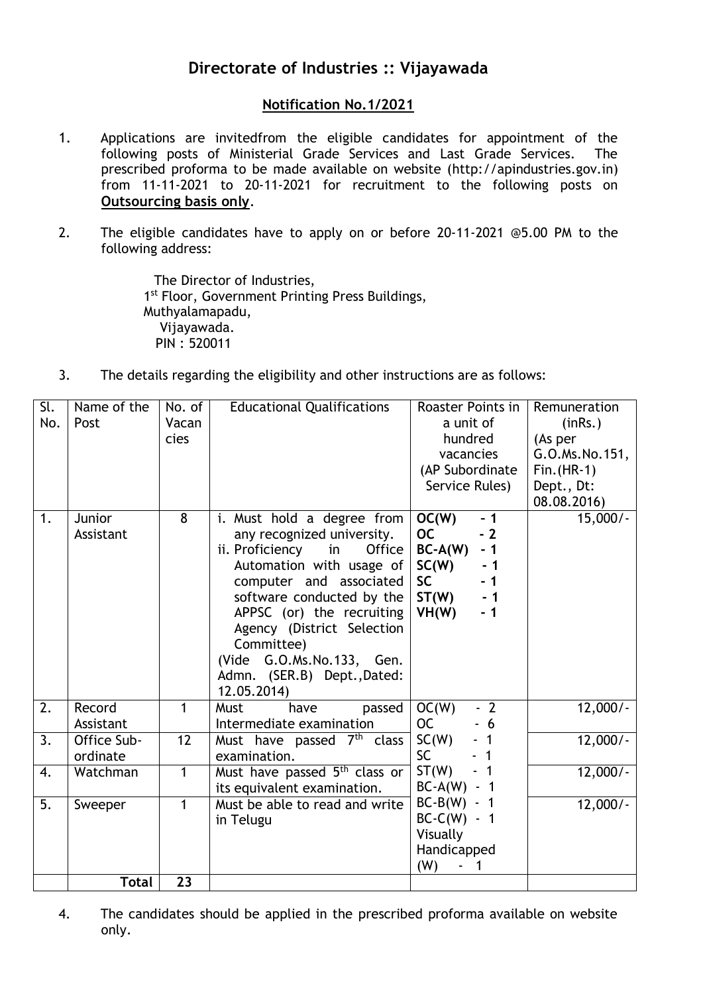## **Directorate of Industries :: Vijayawada**

## **Notification No.1/2021**

- 1. Applications are invitedfrom the eligible candidates for appointment of the following posts of Ministerial Grade Services and Last Grade Services. The prescribed proforma to be made available on website (http://apindustries.gov.in) from 11-11-2021 to 20-11-2021 for recruitment to the following posts on **Outsourcing basis only**.
- 2. The eligible candidates have to apply on or before 20-11-2021 @5.00 PM to the following address:

 The Director of Industries, 1<sup>st</sup> Floor, Government Printing Press Buildings, Muthyalamapadu, Vijayawada. PIN : 520011

3. The details regarding the eligibility and other instructions are as follows:

| Sl.<br>No.       | Name of the<br>Post     | No. of<br>Vacan<br>cies | <b>Educational Qualifications</b>                                                                                                                                                                                                                                                                                                | Roaster Points in<br>a unit of<br>hundred<br>vacancies<br>(AP Subordinate<br>Service Rules)                                   | Remuneration<br>(inRs.)<br>(As per<br>G.O.Ms.No.151,<br>$Fin.(HR-1)$<br>Dept., Dt:<br>08.08.2016) |
|------------------|-------------------------|-------------------------|----------------------------------------------------------------------------------------------------------------------------------------------------------------------------------------------------------------------------------------------------------------------------------------------------------------------------------|-------------------------------------------------------------------------------------------------------------------------------|---------------------------------------------------------------------------------------------------|
| 1.               | Junior<br>Assistant     | 8                       | i. Must hold a degree from<br>any recognized university.<br>ii. Proficiency in<br>Office<br>Automation with usage of<br>computer and associated<br>software conducted by the<br>APPSC (or) the recruiting<br>Agency (District Selection<br>Committee)<br>(Vide G.O.Ms.No.133, Gen.<br>Admn. (SER.B) Dept., Dated:<br>12.05.2014) | OC(W)<br>$-1$<br><b>OC</b><br>$-2$<br>$BC-A(W)$<br>$-1$<br>SC(W)<br>- 1<br><b>SC</b><br>$-1$<br>ST(W)<br>$-1$<br>VH(W)<br>- 1 | $15,000/-$                                                                                        |
| 2.               | Record<br>Assistant     | $\mathbf{1}$            | Must<br>have<br>passed<br>Intermediate examination                                                                                                                                                                                                                                                                               | OC(W)<br>$-2$<br><b>OC</b><br>$-6$                                                                                            | $12,000/-$                                                                                        |
| 3.               | Office Sub-<br>ordinate | 12                      | Must have passed 7 <sup>th</sup> class<br>examination.                                                                                                                                                                                                                                                                           | SC(W)<br>- 1<br><b>SC</b>                                                                                                     | $12,000/-$                                                                                        |
| $\overline{4}$ . | Watchman                | 1                       | Must have passed 5 <sup>th</sup> class or<br>its equivalent examination.                                                                                                                                                                                                                                                         | ST(W)<br>$BC-A(W)$<br>- 1                                                                                                     | $12,000/-$                                                                                        |
| $\overline{5}$ . | Sweeper<br><b>Total</b> | 1<br>23                 | Must be able to read and write<br>in Telugu                                                                                                                                                                                                                                                                                      | $BC-B(W) - 1$<br>$BC-C(W) - 1$<br>Visually<br>Handicapped<br>(W)                                                              | $12,000/-$                                                                                        |

4. The candidates should be applied in the prescribed proforma available on website only.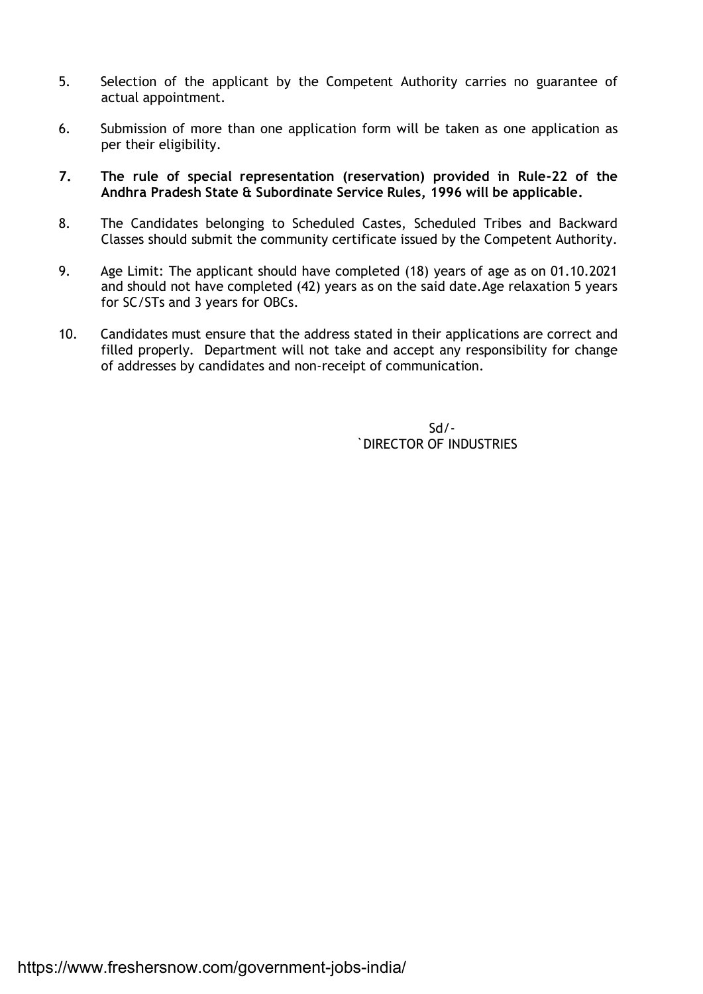- 5. Selection of the applicant by the Competent Authority carries no guarantee of actual appointment.
- 6. Submission of more than one application form will be taken as one application as per their eligibility.
- **7. The rule of special representation (reservation) provided in Rule-22 of the Andhra Pradesh State & Subordinate Service Rules, 1996 will be applicable.**
- 8. The Candidates belonging to Scheduled Castes, Scheduled Tribes and Backward Classes should submit the community certificate issued by the Competent Authority.
- 9. Age Limit: The applicant should have completed (18) years of age as on 01.10.2021 and should not have completed (42) years as on the said date.Age relaxation 5 years for SC/STs and 3 years for OBCs.
- 10. Candidates must ensure that the address stated in their applications are correct and filled properly. Department will not take and accept any responsibility for change of addresses by candidates and non-receipt of communication.

Sd/- `DIRECTOR OF INDUSTRIES